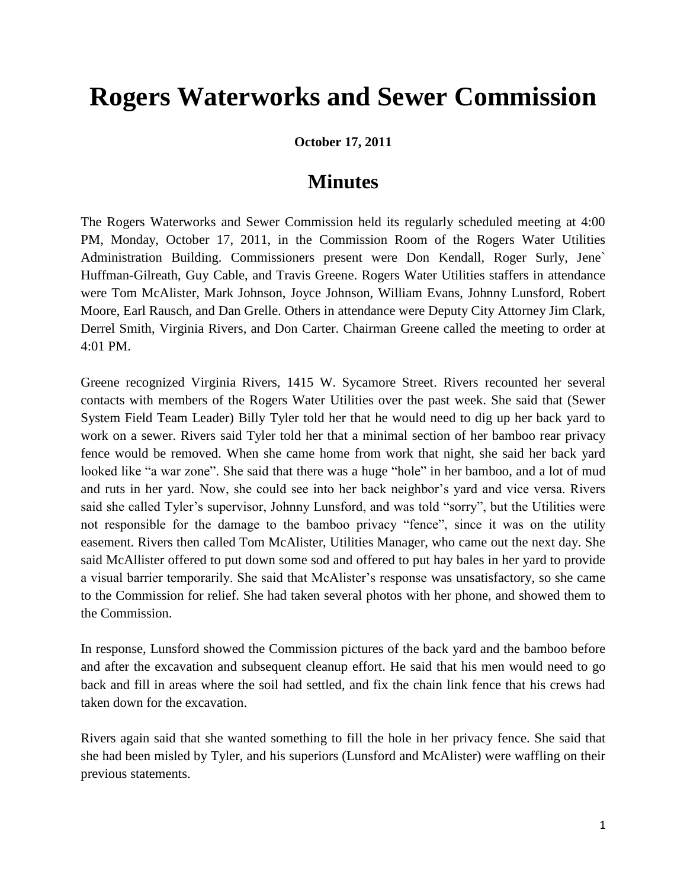## **Rogers Waterworks and Sewer Commission**

**October 17, 2011**

## **Minutes**

The Rogers Waterworks and Sewer Commission held its regularly scheduled meeting at 4:00 PM, Monday, October 17, 2011, in the Commission Room of the Rogers Water Utilities Administration Building. Commissioners present were Don Kendall, Roger Surly, Jene` Huffman-Gilreath, Guy Cable, and Travis Greene. Rogers Water Utilities staffers in attendance were Tom McAlister, Mark Johnson, Joyce Johnson, William Evans, Johnny Lunsford, Robert Moore, Earl Rausch, and Dan Grelle. Others in attendance were Deputy City Attorney Jim Clark, Derrel Smith, Virginia Rivers, and Don Carter. Chairman Greene called the meeting to order at 4:01 PM.

Greene recognized Virginia Rivers, 1415 W. Sycamore Street. Rivers recounted her several contacts with members of the Rogers Water Utilities over the past week. She said that (Sewer System Field Team Leader) Billy Tyler told her that he would need to dig up her back yard to work on a sewer. Rivers said Tyler told her that a minimal section of her bamboo rear privacy fence would be removed. When she came home from work that night, she said her back yard looked like "a war zone". She said that there was a huge "hole" in her bamboo, and a lot of mud and ruts in her yard. Now, she could see into her back neighbor's yard and vice versa. Rivers said she called Tyler's supervisor, Johnny Lunsford, and was told "sorry", but the Utilities were not responsible for the damage to the bamboo privacy "fence", since it was on the utility easement. Rivers then called Tom McAlister, Utilities Manager, who came out the next day. She said McAllister offered to put down some sod and offered to put hay bales in her yard to provide a visual barrier temporarily. She said that McAlister's response was unsatisfactory, so she came to the Commission for relief. She had taken several photos with her phone, and showed them to the Commission.

In response, Lunsford showed the Commission pictures of the back yard and the bamboo before and after the excavation and subsequent cleanup effort. He said that his men would need to go back and fill in areas where the soil had settled, and fix the chain link fence that his crews had taken down for the excavation.

Rivers again said that she wanted something to fill the hole in her privacy fence. She said that she had been misled by Tyler, and his superiors (Lunsford and McAlister) were waffling on their previous statements.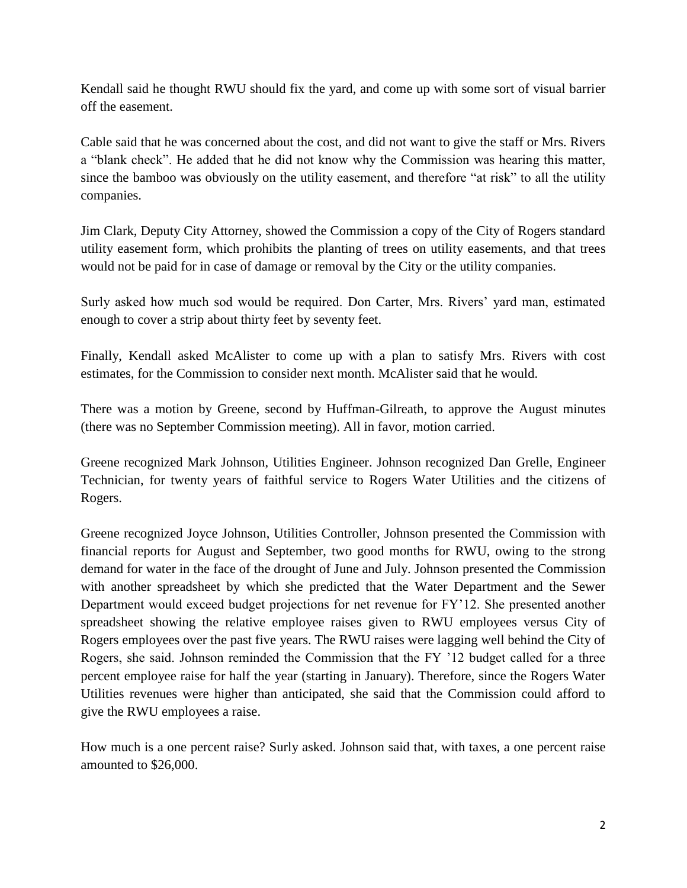Kendall said he thought RWU should fix the yard, and come up with some sort of visual barrier off the easement.

Cable said that he was concerned about the cost, and did not want to give the staff or Mrs. Rivers a "blank check". He added that he did not know why the Commission was hearing this matter, since the bamboo was obviously on the utility easement, and therefore "at risk" to all the utility companies.

Jim Clark, Deputy City Attorney, showed the Commission a copy of the City of Rogers standard utility easement form, which prohibits the planting of trees on utility easements, and that trees would not be paid for in case of damage or removal by the City or the utility companies.

Surly asked how much sod would be required. Don Carter, Mrs. Rivers' yard man, estimated enough to cover a strip about thirty feet by seventy feet.

Finally, Kendall asked McAlister to come up with a plan to satisfy Mrs. Rivers with cost estimates, for the Commission to consider next month. McAlister said that he would.

There was a motion by Greene, second by Huffman-Gilreath, to approve the August minutes (there was no September Commission meeting). All in favor, motion carried.

Greene recognized Mark Johnson, Utilities Engineer. Johnson recognized Dan Grelle, Engineer Technician, for twenty years of faithful service to Rogers Water Utilities and the citizens of Rogers.

Greene recognized Joyce Johnson, Utilities Controller, Johnson presented the Commission with financial reports for August and September, two good months for RWU, owing to the strong demand for water in the face of the drought of June and July. Johnson presented the Commission with another spreadsheet by which she predicted that the Water Department and the Sewer Department would exceed budget projections for net revenue for FY'12. She presented another spreadsheet showing the relative employee raises given to RWU employees versus City of Rogers employees over the past five years. The RWU raises were lagging well behind the City of Rogers, she said. Johnson reminded the Commission that the FY '12 budget called for a three percent employee raise for half the year (starting in January). Therefore, since the Rogers Water Utilities revenues were higher than anticipated, she said that the Commission could afford to give the RWU employees a raise.

How much is a one percent raise? Surly asked. Johnson said that, with taxes, a one percent raise amounted to \$26,000.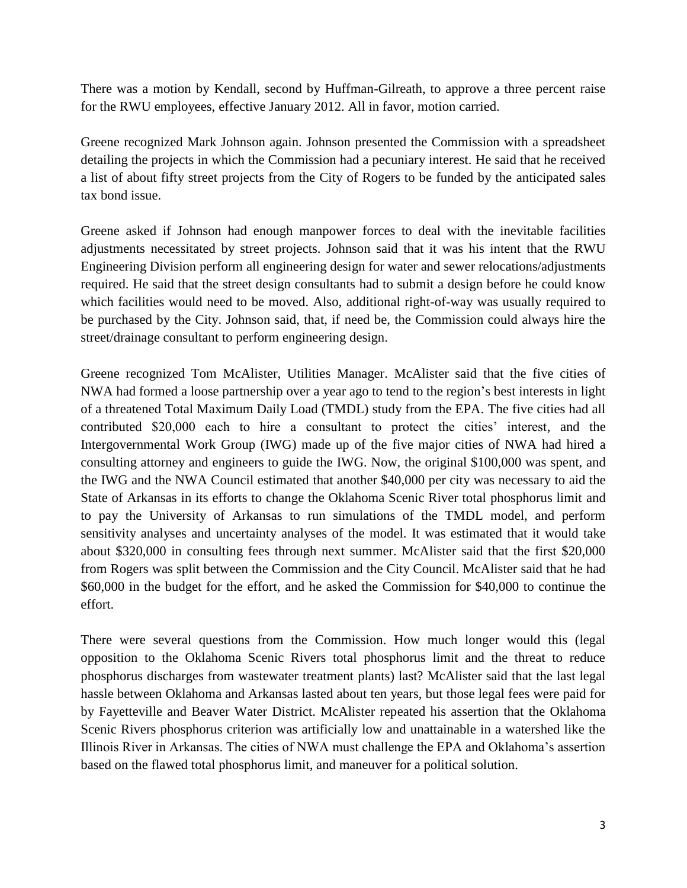There was a motion by Kendall, second by Huffman-Gilreath, to approve a three percent raise for the RWU employees, effective January 2012. All in favor, motion carried.

Greene recognized Mark Johnson again. Johnson presented the Commission with a spreadsheet detailing the projects in which the Commission had a pecuniary interest. He said that he received a list of about fifty street projects from the City of Rogers to be funded by the anticipated sales tax bond issue.

Greene asked if Johnson had enough manpower forces to deal with the inevitable facilities adjustments necessitated by street projects. Johnson said that it was his intent that the RWU Engineering Division perform all engineering design for water and sewer relocations/adjustments required. He said that the street design consultants had to submit a design before he could know which facilities would need to be moved. Also, additional right-of-way was usually required to be purchased by the City. Johnson said, that, if need be, the Commission could always hire the street/drainage consultant to perform engineering design.

Greene recognized Tom McAlister, Utilities Manager. McAlister said that the five cities of NWA had formed a loose partnership over a year ago to tend to the region's best interests in light of a threatened Total Maximum Daily Load (TMDL) study from the EPA. The five cities had all contributed \$20,000 each to hire a consultant to protect the cities' interest, and the Intergovernmental Work Group (IWG) made up of the five major cities of NWA had hired a consulting attorney and engineers to guide the IWG. Now, the original \$100,000 was spent, and the IWG and the NWA Council estimated that another \$40,000 per city was necessary to aid the State of Arkansas in its efforts to change the Oklahoma Scenic River total phosphorus limit and to pay the University of Arkansas to run simulations of the TMDL model, and perform sensitivity analyses and uncertainty analyses of the model. It was estimated that it would take about \$320,000 in consulting fees through next summer. McAlister said that the first \$20,000 from Rogers was split between the Commission and the City Council. McAlister said that he had \$60,000 in the budget for the effort, and he asked the Commission for \$40,000 to continue the effort.

There were several questions from the Commission. How much longer would this (legal opposition to the Oklahoma Scenic Rivers total phosphorus limit and the threat to reduce phosphorus discharges from wastewater treatment plants) last? McAlister said that the last legal hassle between Oklahoma and Arkansas lasted about ten years, but those legal fees were paid for by Fayetteville and Beaver Water District. McAlister repeated his assertion that the Oklahoma Scenic Rivers phosphorus criterion was artificially low and unattainable in a watershed like the Illinois River in Arkansas. The cities of NWA must challenge the EPA and Oklahoma's assertion based on the flawed total phosphorus limit, and maneuver for a political solution.